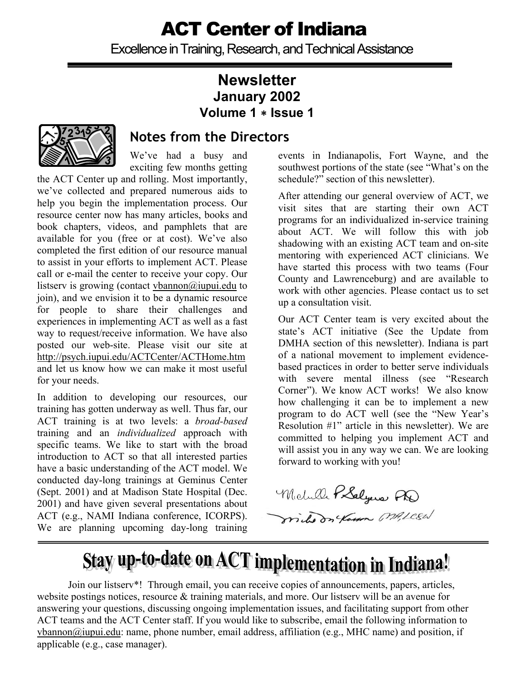Excellence in Training, Research, and Technical Assistance

### **Newsletter January 2002 Volume 1** ∗ **Issue 1**



### **Notes from the Directors**

 We've had a busy and exciting few months getting

the ACT Center up and rolling. Most importantly, we've collected and prepared numerous aids to help you begin the implementation process. Our resource center now has many articles, books and book chapters, videos, and pamphlets that are available for you (free or at cost). We've also completed the first edition of our resource manual to assist in your efforts to implement ACT. Please call or e-mail the center to receive your copy. Our listserv is growing (contact vbannon@iupui.edu to join), and we envision it to be a dynamic resource for people to share their challenges and experiences in implementing ACT as well as a fast way to request/receive information. We have also posted our web-site. Please visit our site at http://psych.iupui.edu/ACTCenter/ACTHome.htm and let us know how we can make it most useful for your needs.

In addition to developing our resources, our training has gotten underway as well. Thus far, our ACT training is at two levels: a *broad-based* training and an *individualized* approach with specific teams. We like to start with the broad introduction to ACT so that all interested parties have a basic understanding of the ACT model. We conducted day-long trainings at Geminus Center (Sept. 2001) and at Madison State Hospital (Dec. 2001) and have given several presentations about ACT (e.g., NAMI Indiana conference, ICORPS). We are planning upcoming day-long training

events in Indianapolis, Fort Wayne, and the southwest portions of the state (see "What's on the schedule?" section of this newsletter).

After attending our general overview of ACT, we visit sites that are starting their own ACT programs for an individualized in-service training about ACT. We will follow this with job shadowing with an existing ACT team and on-site mentoring with experienced ACT clinicians. We have started this process with two teams (Four County and Lawrenceburg) and are available to work with other agencies. Please contact us to set up a consultation visit.

Our ACT Center team is very excited about the state's ACT initiative (See the Update from DMHA section of this newsletter). Indiana is part of a national movement to implement evidencebased practices in order to better serve individuals with severe mental illness (see "Research Corner"). We know ACT works! We also know how challenging it can be to implement a new program to do ACT well (see the "New Year's Resolution #1" article in this newsletter). We are committed to helping you implement ACT and will assist you in any way we can. We are looking forward to working with you!

Michelle PSalyers PD

mile on Koson Milcal

# Stay up-to-date on ACT implementation in Indiana!

Join our listserv\*! Through email, you can receive copies of announcements, papers, articles, website postings notices, resource & training materials, and more. Our listserv will be an avenue for answering your questions, discussing ongoing implementation issues, and facilitating support from other ACT teams and the ACT Center staff. If you would like to subscribe, email the following information to vbannon@iupui.edu: name, phone number, email address, affiliation (e.g., MHC name) and position, if applicable (e.g., case manager).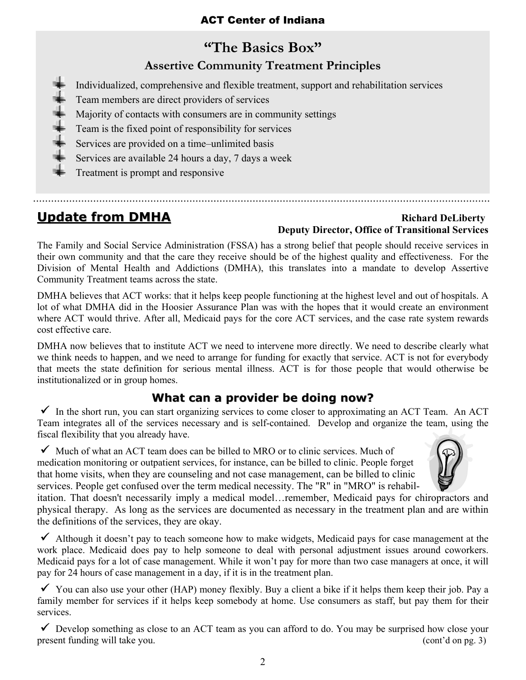## **"The Basics Box" Assertive Community Treatment Principles**

Individualized, comprehensive and flexible treatment, support and rehabilitation services

- Team members are direct providers of services
- Majority of contacts with consumers are in community settings
- Team is the fixed point of responsibility for services
- Services are provided on a time–unlimited basis
- Services are available 24 hours a day, 7 days a week

Treatment is prompt and responsive

#### **Update from DMHA Richard DeLiberty Deputy Director, Office of Transitional Services**

The Family and Social Service Administration (FSSA) has a strong belief that people should receive services in their own community and that the care they receive should be of the highest quality and effectiveness. For the Division of Mental Health and Addictions (DMHA), this translates into a mandate to develop Assertive Community Treatment teams across the state.

DMHA believes that ACT works: that it helps keep people functioning at the highest level and out of hospitals. A lot of what DMHA did in the Hoosier Assurance Plan was with the hopes that it would create an environment where ACT would thrive. After all, Medicaid pays for the core ACT services, and the case rate system rewards cost effective care.

DMHA now believes that to institute ACT we need to intervene more directly. We need to describe clearly what we think needs to happen, and we need to arrange for funding for exactly that service. ACT is not for everybody that meets the state definition for serious mental illness. ACT is for those people that would otherwise be institutionalized or in group homes.

#### **What can a provider be doing now?**

 $\checkmark$  In the short run, you can start organizing services to come closer to approximating an ACT Team. An ACT Team integrates all of the services necessary and is self-contained. Develop and organize the team, using the fiscal flexibility that you already have.

 $\checkmark$  Much of what an ACT team does can be billed to MRO or to clinic services. Much of medication monitoring or outpatient services, for instance, can be billed to clinic. People forget that home visits, when they are counseling and not case management, can be billed to clinic services. People get confused over the term medical necessity. The "R" in "MRO" is rehabil-



itation. That doesn't necessarily imply a medical model…remember, Medicaid pays for chiropractors and physical therapy. As long as the services are documented as necessary in the treatment plan and are within the definitions of the services, they are okay.

 $\checkmark$  Although it doesn't pay to teach someone how to make widgets, Medicaid pays for case management at the work place. Medicaid does pay to help someone to deal with personal adjustment issues around coworkers. Medicaid pays for a lot of case management. While it won't pay for more than two case managers at once, it will pay for 24 hours of case management in a day, if it is in the treatment plan.

 $\checkmark$  You can also use your other (HAP) money flexibly. Buy a client a bike if it helps them keep their job. Pay a family member for services if it helps keep somebody at home. Use consumers as staff, but pay them for their services.

 $\checkmark$  Develop something as close to an ACT team as you can afford to do. You may be surprised how close your present funding will take you. (cont'd on pg. 3)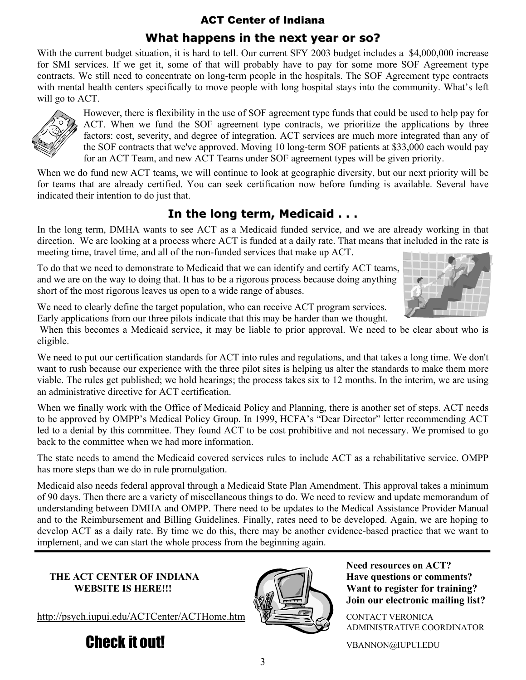#### **What happens in the next year or so?**

With the current budget situation, it is hard to tell. Our current SFY 2003 budget includes a \$4,000,000 increase for SMI services. If we get it, some of that will probably have to pay for some more SOF Agreement type contracts. We still need to concentrate on long-term people in the hospitals. The SOF Agreement type contracts with mental health centers specifically to move people with long hospital stays into the community. What's left will go to ACT.



However, there is flexibility in the use of SOF agreement type funds that could be used to help pay for ACT. When we fund the SOF agreement type contracts, we prioritize the applications by three factors: cost, severity, and degree of integration. ACT services are much more integrated than any of the SOF contracts that we've approved. Moving 10 long-term SOF patients at \$33,000 each would pay for an ACT Team, and new ACT Teams under SOF agreement types will be given priority.

When we do fund new ACT teams, we will continue to look at geographic diversity, but our next priority will be for teams that are already certified. You can seek certification now before funding is available. Several have indicated their intention to do just that.

### **In the long term, Medicaid . . .**

In the long term, DMHA wants to see ACT as a Medicaid funded service, and we are already working in that direction. We are looking at a process where ACT is funded at a daily rate. That means that included in the rate is meeting time, travel time, and all of the non-funded services that make up ACT.

To do that we need to demonstrate to Medicaid that we can identify and certify ACT teams, and we are on the way to doing that. It has to be a rigorous process because doing anything short of the most rigorous leaves us open to a wide range of abuses.



We need to clearly define the target population, who can receive ACT program services. Early applications from our three pilots indicate that this may be harder than we thought.

 When this becomes a Medicaid service, it may be liable to prior approval. We need to be clear about who is eligible.

We need to put our certification standards for ACT into rules and regulations, and that takes a long time. We don't want to rush because our experience with the three pilot sites is helping us alter the standards to make them more viable. The rules get published; we hold hearings; the process takes six to 12 months. In the interim, we are using an administrative directive for ACT certification.

When we finally work with the Office of Medicaid Policy and Planning, there is another set of steps. ACT needs to be approved by OMPP's Medical Policy Group. In 1999, HCFA's "Dear Director" letter recommending ACT led to a denial by this committee. They found ACT to be cost prohibitive and not necessary. We promised to go back to the committee when we had more information.

The state needs to amend the Medicaid covered services rules to include ACT as a rehabilitative service. OMPP has more steps than we do in rule promulgation.

Medicaid also needs federal approval through a Medicaid State Plan Amendment. This approval takes a minimum of 90 days. Then there are a variety of miscellaneous things to do. We need to review and update memorandum of understanding between DMHA and OMPP. There need to be updates to the Medical Assistance Provider Manual and to the Reimbursement and Billing Guidelines. Finally, rates need to be developed. Again, we are hoping to develop ACT as a daily rate. By time we do this, there may be another evidence-based practice that we want to implement, and we can start the whole process from the beginning again.

# **THE ACT CENTER OF INDIANA** Have questions or comments?

http://psych.iupui.edu/ACTCenter/ACTHome.htm \\\ \_\_\_\_\_\_\_\_\_\_\_\_\_\_\_\_\_\_\_\_\_\_\_\_\_\_\_\_\_\_\_\_





 **Need resources on ACT? WEBSITE IS HERE!!!**  $\left| \bigcup_{n=1}^{\infty} \right|$  Want to register for training?  **Join our electronic mailing list?** 

ADMINISTRATIVE COORDINATOR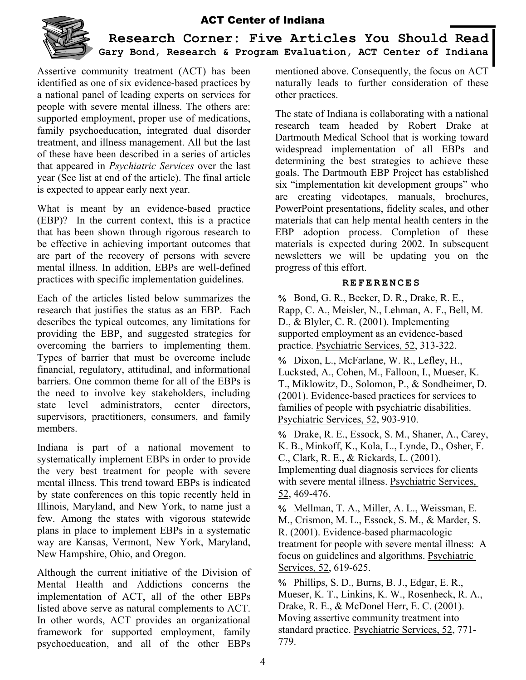

**Research Corner: Five Articles You Should Read Gary Bond, Research & Program Evaluation, ACT Center of Indiana** 

Assertive community treatment (ACT) has been identified as one of six evidence-based practices by a national panel of leading experts on services for people with severe mental illness. The others are: supported employment, proper use of medications, family psychoeducation, integrated dual disorder treatment, and illness management. All but the last of these have been described in a series of articles that appeared in *Psychiatric Services* over the last year (See list at end of the article). The final article is expected to appear early next year.

What is meant by an evidence-based practice (EBP)? In the current context, this is a practice that has been shown through rigorous research to be effective in achieving important outcomes that are part of the recovery of persons with severe mental illness. In addition, EBPs are well-defined practices with specific implementation guidelines.

Each of the articles listed below summarizes the research that justifies the status as an EBP. Each describes the typical outcomes, any limitations for providing the EBP, and suggested strategies for overcoming the barriers to implementing them. Types of barrier that must be overcome include financial, regulatory, attitudinal, and informational barriers. One common theme for all of the EBPs is the need to involve key stakeholders, including state level administrators, center directors, supervisors, practitioners, consumers, and family members.

Indiana is part of a national movement to systematically implement EBPs in order to provide the very best treatment for people with severe mental illness. This trend toward EBPs is indicated by state conferences on this topic recently held in Illinois, Maryland, and New York, to name just a few. Among the states with vigorous statewide plans in place to implement EBPs in a systematic way are Kansas, Vermont, New York, Maryland, New Hampshire, Ohio, and Oregon.

Although the current initiative of the Division of Mental Health and Addictions concerns the implementation of ACT, all of the other EBPs listed above serve as natural complements to ACT. In other words, ACT provides an organizational framework for supported employment, family psychoeducation, and all of the other EBPs mentioned above. Consequently, the focus on ACT naturally leads to further consideration of these other practices.

The state of Indiana is collaborating with a national research team headed by Robert Drake at Dartmouth Medical School that is working toward widespread implementation of all EBPs and determining the best strategies to achieve these goals. The Dartmouth EBP Project has established six "implementation kit development groups" who are creating videotapes, manuals, brochures, PowerPoint presentations, fidelity scales, and other materials that can help mental health centers in the EBP adoption process. Completion of these materials is expected during 2002. In subsequent newsletters we will be updating you on the progress of this effort.

#### **REFERENCES**

% Bond, G. R., Becker, D. R., Drake, R. E., Rapp, C. A., Meisler, N., Lehman, A. F., Bell, M. D., & Blyler, C. R. (2001). Implementing supported employment as an evidence-based practice. Psychiatric Services, 52, 313-322.

% Dixon, L., McFarlane, W. R., Lefley, H., Lucksted, A., Cohen, M., Falloon, I., Mueser, K. T., Miklowitz, D., Solomon, P., & Sondheimer, D. (2001). Evidence-based practices for services to families of people with psychiatric disabilities. Psychiatric Services, 52, 903-910.

% Drake, R. E., Essock, S. M., Shaner, A., Carey, K. B., Minkoff, K., Kola, L., Lynde, D., Osher, F. C., Clark, R. E., & Rickards, L. (2001). Implementing dual diagnosis services for clients with severe mental illness. Psychiatric Services, 52, 469-476.

% Mellman, T. A., Miller, A. L., Weissman, E. M., Crismon, M. L., Essock, S. M., & Marder, S. R. (2001). Evidence-based pharmacologic treatment for people with severe mental illness: A focus on guidelines and algorithms. Psychiatric Services, 52, 619-625.

% Phillips, S. D., Burns, B. J., Edgar, E. R., Mueser, K. T., Linkins, K. W., Rosenheck, R. A., Drake, R. E., & McDonel Herr, E. C. (2001). Moving assertive community treatment into standard practice. Psychiatric Services, 52, 771- 779.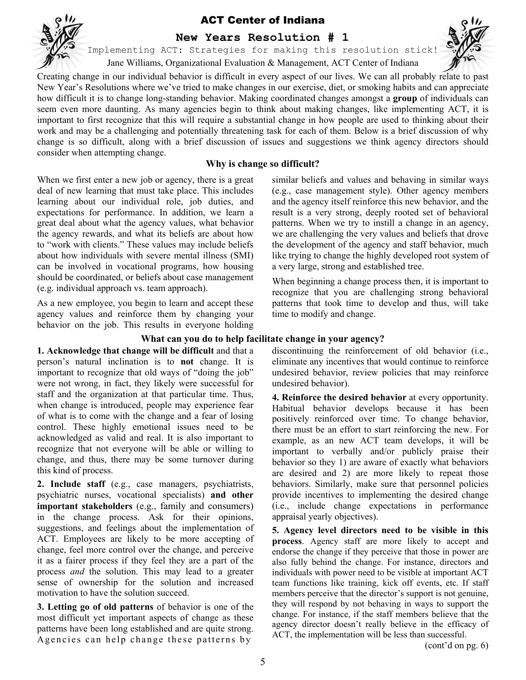

**New Years Resolution # 1** 

Implementing ACT: Strategies for making this resolution stick!

Jane Williams, Organizational Evaluation & Management, ACT Center of Indiana

Creating change in our individual behavior is difficult in every aspect of our lives. We can all probably relate to past New Year's Resolutions where we've tried to make changes in our exercise, diet, or smoking habits and can appreciate how difficult it is to change long-standing behavior. Making coordinated changes amongst a **group** of individuals can seem even more daunting. As many agencies begin to think about making changes, like implementing ACT, it is important to first recognize that this will require a substantial change in how people are used to thinking about their work and may be a challenging and potentially threatening task for each of them. Below is a brief discussion of why change is so difficult, along with a brief discussion of issues and suggestions we think agency directors should consider when attempting change.

#### **Why is change so difficult?**

When we first enter a new job or agency, there is a great deal of new learning that must take place. This includes learning about our individual role, job duties, and expectations for performance. In addition, we learn a great deal about what the agency values, what behavior the agency rewards, and what its beliefs are about how to "work with clients." These values may include beliefs about how individuals with severe mental illness (SMI) can be involved in vocational programs, how housing should be coordinated, or beliefs about case management (e.g. individual approach vs. team approach).

As a new employee, you begin to learn and accept these agency values and reinforce them by changing your behavior on the job. This results in everyone holding similar beliefs and values and behaving in similar ways (e.g., case management style). Other agency members and the agency itself reinforce this new behavior, and the result is a very strong, deeply rooted set of behavioral patterns. When we try to instill a change in an agency, we are challenging the very values and beliefs that drove the development of the agency and staff behavior, much like trying to change the highly developed root system of a very large, strong and established tree.

When beginning a change process then, it is important to recognize that you are challenging strong behavioral patterns that took time to develop and thus, will take time to modify and change.

#### **What can you do to help facilitate change in your agency?**

**1. Acknowledge that change will be difficult** and that a person's natural inclination is to **not** change. It is important to recognize that old ways of "doing the job" were not wrong, in fact, they likely were successful for staff and the organization at that particular time. Thus, when change is introduced, people may experience fear of what is to come with the change and a fear of losing control. These highly emotional issues need to be acknowledged as valid and real. It is also important to recognize that not everyone will be able or willing to change, and thus, there may be some turnover during this kind of process.

**2. Include staff** (e.g., case managers, psychiatrists, psychiatric nurses, vocational specialists) **and other important stakeholders** (e.g., family and consumers) in the change process. Ask for their opinions, suggestions, and feelings about the implementation of ACT. Employees are likely to be more accepting of change, feel more control over the change, and perceive it as a fairer process if they feel they are a part of the process *and* the solution. This may lead to a greater sense of ownership for the solution and increased motivation to have the solution succeed.

**3. Letting go of old patterns** of behavior is one of the most difficult yet important aspects of change as these patterns have been long established and are quite strong. A gencies can help change these patterns by

discontinuing the reinforcement of old behavior (i.e., eliminate any incentives that would continue to reinforce undesired behavior, review policies that may reinforce undesired behavior).

**4. Reinforce the desired behavior** at every opportunity. Habitual behavior develops because it has been positively reinforced over time. To change behavior, there must be an effort to start reinforcing the new. For example, as an new ACT team develops, it will be important to verbally and/or publicly praise their behavior so they 1) are aware of exactly what behaviors are desired and 2) are more likely to repeat those behaviors. Similarly, make sure that personnel policies provide incentives to implementing the desired change (i.e., include change expectations in performance appraisal yearly objectives).

**5. Agency level directors need to be visible in this process**. Agency staff are more likely to accept and endorse the change if they perceive that those in power are also fully behind the change. For instance, directors and individuals with power need to be visible at important ACT team functions like training, kick off events, etc. If staff members perceive that the director's support is not genuine, they will respond by not behaving in ways to support the change. For instance, if the staff members believe that the agency director doesn't really believe in the efficacy of ACT, the implementation will be less than successful.

(cont'd on pg. 6)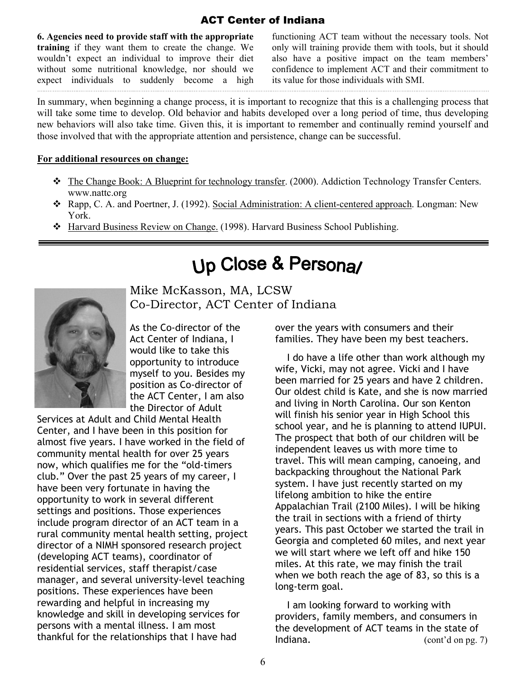**6. Agencies need to provide staff with the appropriate training** if they want them to create the change. We wouldn't expect an individual to improve their diet without some nutritional knowledge, nor should we expect individuals to suddenly become a high

functioning ACT team without the necessary tools. Not only will training provide them with tools, but it should also have a positive impact on the team members' confidence to implement ACT and their commitment to its value for those individuals with SMI.

In summary, when beginning a change process, it is important to recognize that this is a challenging process that will take some time to develop. Old behavior and habits developed over a long period of time, thus developing new behaviors will also take time. Given this, it is important to remember and continually remind yourself and those involved that with the appropriate attention and persistence, change can be successful.

#### **For additional resources on change:**

- $\div$  The Change Book: A Blueprint for technology transfer. (2000). Addiction Technology Transfer Centers. www.nattc.org
- Rapp, C. A. and Poertner, J. (1992). Social Administration: A client-centered approach. Longman: New York.
- Harvard Business Review on Change. (1998). Harvard Business School Publishing.

# Up Close & Persona/



Mike McKasson, MA, LCSW Co-Director, ACT Center of Indiana

 As the Co-director of the Act Center of Indiana, I would like to take this opportunity to introduce myself to you. Besides my position as Co-director of the ACT Center, I am also the Director of Adult

Services at Adult and Child Mental Health Center, and I have been in this position for almost five years. I have worked in the field of community mental health for over 25 years now, which qualifies me for the "old-timers club." Over the past 25 years of my career, I have been very fortunate in having the opportunity to work in several different settings and positions. Those experiences include program director of an ACT team in a rural community mental health setting, project director of a NIMH sponsored research project (developing ACT teams), coordinator of residential services, staff therapist/case manager, and several university-level teaching positions. These experiences have been rewarding and helpful in increasing my knowledge and skill in developing services for persons with a mental illness. I am most thankful for the relationships that I have had

over the years with consumers and their families. They have been my best teachers.

 I do have a life other than work although my wife, Vicki, may not agree. Vicki and I have been married for 25 years and have 2 children. Our oldest child is Kate, and she is now married and living in North Carolina. Our son Kenton will finish his senior year in High School this school year, and he is planning to attend IUPUI. The prospect that both of our children will be independent leaves us with more time to travel. This will mean camping, canoeing, and backpacking throughout the National Park system. I have just recently started on my lifelong ambition to hike the entire Appalachian Trail (2100 Miles). I will be hiking the trail in sections with a friend of thirty years. This past October we started the trail in Georgia and completed 60 miles, and next year we will start where we left off and hike 150 miles. At this rate, we may finish the trail when we both reach the age of 83, so this is a long-term goal.

 I am looking forward to working with providers, family members, and consumers in the development of ACT teams in the state of Indiana. (cont'd on pg. 7)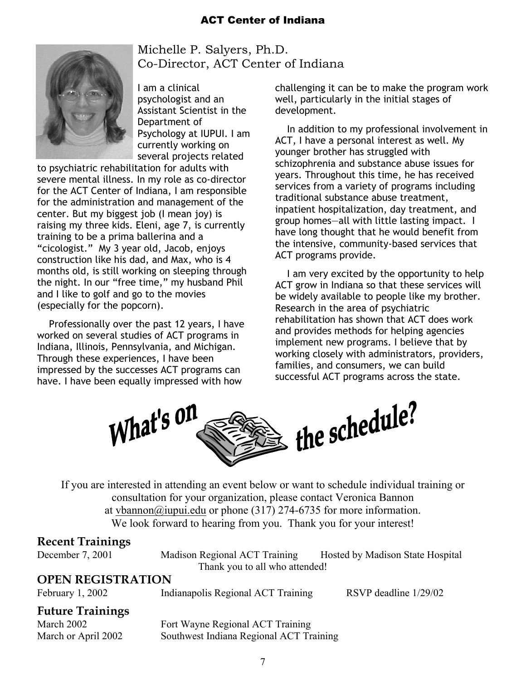

 Michelle P. Salyers, Ph.D. Co-Director, ACT Center of Indiana

 I am a clinical psychologist and an Assistant Scientist in the Department of Psychology at IUPUI. I am currently working on several projects related

to psychiatric rehabilitation for adults with severe mental illness. In my role as co-director for the ACT Center of Indiana, I am responsible for the administration and management of the center. But my biggest job (I mean joy) is raising my three kids. Eleni, age 7, is currently training to be a prima ballerina and a "cicologist." My 3 year old, Jacob, enjoys construction like his dad, and Max, who is 4 months old, is still working on sleeping through the night. In our "free time," my husband Phil and I like to golf and go to the movies (especially for the popcorn).

 Professionally over the past 12 years, I have worked on several studies of ACT programs in Indiana, Illinois, Pennsylvania, and Michigan. Through these experiences, I have been impressed by the successes ACT programs can have. I have been equally impressed with how

challenging it can be to make the program work well, particularly in the initial stages of development.

 In addition to my professional involvement in ACT, I have a personal interest as well. My younger brother has struggled with schizophrenia and substance abuse issues for years. Throughout this time, he has received services from a variety of programs including traditional substance abuse treatment, inpatient hospitalization, day treatment, and group homes—all with little lasting impact. I have long thought that he would benefit from the intensive, community-based services that ACT programs provide.

 I am very excited by the opportunity to help ACT grow in Indiana so that these services will be widely available to people like my brother. Research in the area of psychiatric rehabilitation has shown that ACT does work and provides methods for helping agencies implement new programs. I believe that by working closely with administrators, providers, families, and consumers, we can build successful ACT programs across the state.



If you are interested in attending an event below or want to schedule individual training or consultation for your organization, please contact Veronica Bannon at vbannon@iupui.edu or phone (317) 274-6735 for more information. We look forward to hearing from you. Thank you for your interest!

#### **Recent Trainings**

December 7, 2001 Madison Regional ACT Training Hosted by Madison State Hospital Thank you to all who attended!

#### **OPEN REGISTRATION**

February 1, 2002 Indianapolis Regional ACT Training RSVP deadline 1/29/02

#### **Future Trainings**

March 2002 Fort Wayne Regional ACT Training March or April 2002 Southwest Indiana Regional ACT Training